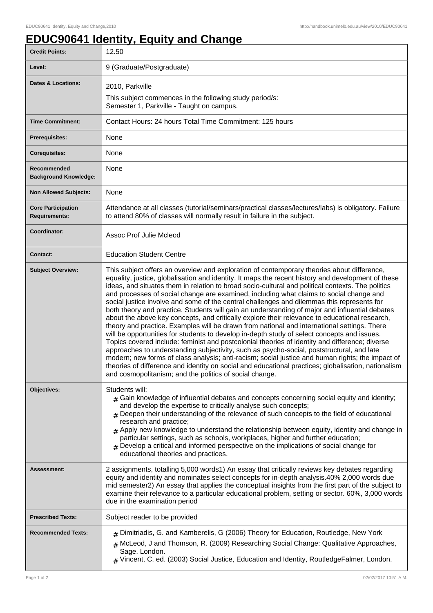1

## **EDUC90641 Identity, Equity and Change**

| <b>Credit Points:</b>                             | 12.50                                                                                                                                                                                                                                                                                                                                                                                                                                                                                                                                                                                                                                                                                                                                                                                                                                                                                                                                                                                                                                                                                                                                                                                                                                                                                                                                                                |
|---------------------------------------------------|----------------------------------------------------------------------------------------------------------------------------------------------------------------------------------------------------------------------------------------------------------------------------------------------------------------------------------------------------------------------------------------------------------------------------------------------------------------------------------------------------------------------------------------------------------------------------------------------------------------------------------------------------------------------------------------------------------------------------------------------------------------------------------------------------------------------------------------------------------------------------------------------------------------------------------------------------------------------------------------------------------------------------------------------------------------------------------------------------------------------------------------------------------------------------------------------------------------------------------------------------------------------------------------------------------------------------------------------------------------------|
| Level:                                            | 9 (Graduate/Postgraduate)                                                                                                                                                                                                                                                                                                                                                                                                                                                                                                                                                                                                                                                                                                                                                                                                                                                                                                                                                                                                                                                                                                                                                                                                                                                                                                                                            |
| Dates & Locations:                                | 2010, Parkville                                                                                                                                                                                                                                                                                                                                                                                                                                                                                                                                                                                                                                                                                                                                                                                                                                                                                                                                                                                                                                                                                                                                                                                                                                                                                                                                                      |
|                                                   | This subject commences in the following study period/s:<br>Semester 1, Parkville - Taught on campus.                                                                                                                                                                                                                                                                                                                                                                                                                                                                                                                                                                                                                                                                                                                                                                                                                                                                                                                                                                                                                                                                                                                                                                                                                                                                 |
| <b>Time Commitment:</b>                           | Contact Hours: 24 hours Total Time Commitment: 125 hours                                                                                                                                                                                                                                                                                                                                                                                                                                                                                                                                                                                                                                                                                                                                                                                                                                                                                                                                                                                                                                                                                                                                                                                                                                                                                                             |
| <b>Prerequisites:</b>                             | None                                                                                                                                                                                                                                                                                                                                                                                                                                                                                                                                                                                                                                                                                                                                                                                                                                                                                                                                                                                                                                                                                                                                                                                                                                                                                                                                                                 |
| <b>Corequisites:</b>                              | None                                                                                                                                                                                                                                                                                                                                                                                                                                                                                                                                                                                                                                                                                                                                                                                                                                                                                                                                                                                                                                                                                                                                                                                                                                                                                                                                                                 |
| Recommended<br><b>Background Knowledge:</b>       | None                                                                                                                                                                                                                                                                                                                                                                                                                                                                                                                                                                                                                                                                                                                                                                                                                                                                                                                                                                                                                                                                                                                                                                                                                                                                                                                                                                 |
| <b>Non Allowed Subjects:</b>                      | None                                                                                                                                                                                                                                                                                                                                                                                                                                                                                                                                                                                                                                                                                                                                                                                                                                                                                                                                                                                                                                                                                                                                                                                                                                                                                                                                                                 |
| <b>Core Participation</b><br><b>Requirements:</b> | Attendance at all classes (tutorial/seminars/practical classes/lectures/labs) is obligatory. Failure<br>to attend 80% of classes will normally result in failure in the subject.                                                                                                                                                                                                                                                                                                                                                                                                                                                                                                                                                                                                                                                                                                                                                                                                                                                                                                                                                                                                                                                                                                                                                                                     |
| <b>Coordinator:</b>                               | Assoc Prof Julie Mcleod                                                                                                                                                                                                                                                                                                                                                                                                                                                                                                                                                                                                                                                                                                                                                                                                                                                                                                                                                                                                                                                                                                                                                                                                                                                                                                                                              |
| <b>Contact:</b>                                   | <b>Education Student Centre</b>                                                                                                                                                                                                                                                                                                                                                                                                                                                                                                                                                                                                                                                                                                                                                                                                                                                                                                                                                                                                                                                                                                                                                                                                                                                                                                                                      |
| <b>Subject Overview:</b>                          | This subject offers an overview and exploration of contemporary theories about difference,<br>equality, justice, globalisation and identity. It maps the recent history and development of these<br>ideas, and situates them in relation to broad socio-cultural and political contexts. The politics<br>and processes of social change are examined, including what claims to social change and<br>social justice involve and some of the central challenges and dilemmas this represents for<br>both theory and practice. Students will gain an understanding of major and influential debates<br>about the above key concepts, and critically explore their relevance to educational research,<br>theory and practice. Examples will be drawn from national and international settings. There<br>will be opportunities for students to develop in-depth study of select concepts and issues.<br>Topics covered include: feminist and postcolonial theories of identity and difference; diverse<br>approaches to understanding subjectivity, such as psycho-social, poststructural, and late<br>modern; new forms of class analysis; anti-racism; social justice and human rights; the impact of<br>theories of difference and identity on social and educational practices; globalisation, nationalism<br>and cosmopolitanism; and the politics of social change. |
| Objectives:                                       | Students will:<br>$#$ Gain knowledge of influential debates and concepts concerning social equity and identity;<br>and develop the expertise to critically analyse such concepts;<br># Deepen their understanding of the relevance of such concepts to the field of educational<br>research and practice;<br>$#$ Apply new knowledge to understand the relationship between equity, identity and change in<br>particular settings, such as schools, workplaces, higher and further education;<br>Develop a critical and informed perspective on the implications of social change for<br>educational theories and practices.                                                                                                                                                                                                                                                                                                                                                                                                                                                                                                                                                                                                                                                                                                                                         |
| <b>Assessment:</b>                                | 2 assignments, totalling 5,000 words1) An essay that critically reviews key debates regarding<br>equity and identity and nominates select concepts for in-depth analysis.40% 2,000 words due<br>mid semester2) An essay that applies the conceptual insights from the first part of the subject to<br>examine their relevance to a particular educational problem, setting or sector. 60%, 3,000 words<br>due in the examination period                                                                                                                                                                                                                                                                                                                                                                                                                                                                                                                                                                                                                                                                                                                                                                                                                                                                                                                              |
| <b>Prescribed Texts:</b>                          | Subject reader to be provided                                                                                                                                                                                                                                                                                                                                                                                                                                                                                                                                                                                                                                                                                                                                                                                                                                                                                                                                                                                                                                                                                                                                                                                                                                                                                                                                        |
| <b>Recommended Texts:</b>                         | # Dimitriadis, G. and Kamberelis, G (2006) Theory for Education, Routledge, New York<br>$#$ McLeod, J and Thomson, R. (2009) Researching Social Change: Qualitative Approaches,<br>Sage. London.<br>$#$ Vincent, C. ed. (2003) Social Justice, Education and Identity, RoutledgeFalmer, London.                                                                                                                                                                                                                                                                                                                                                                                                                                                                                                                                                                                                                                                                                                                                                                                                                                                                                                                                                                                                                                                                      |